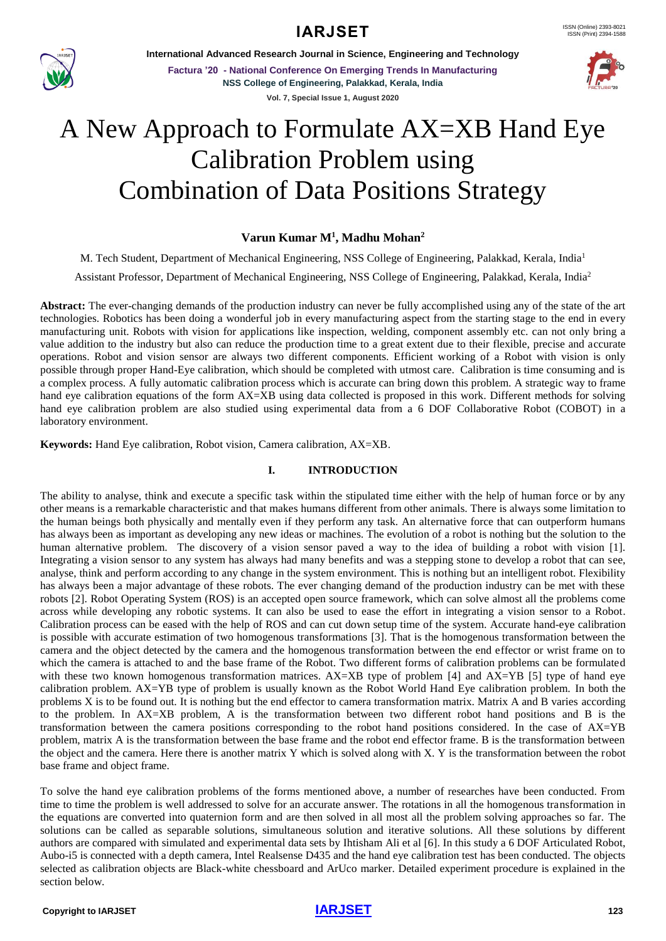# **IARJSET**



**International Advanced Research Journal in Science, Engineering and Technology**

**Factura '20 - National Conference On Emerging Trends In Manufacturing NSS College of Engineering, Palakkad, Kerala, India Vol. 7, Special Issue 1, August 2020**



# A New Approach to Formulate AX=XB Hand Eye Calibration Problem using Combination of Data Positions Strategy

# **Varun Kumar M<sup>1</sup> , Madhu Mohan<sup>2</sup>**

M. Tech Student, Department of Mechanical Engineering, NSS College of Engineering, Palakkad, Kerala, India<sup>1</sup>

Assistant Professor, Department of Mechanical Engineering, NSS College of Engineering, Palakkad, Kerala, India<sup>2</sup>

**Abstract:** The ever-changing demands of the production industry can never be fully accomplished using any of the state of the art technologies. Robotics has been doing a wonderful job in every manufacturing aspect from the starting stage to the end in every manufacturing unit. Robots with vision for applications like inspection, welding, component assembly etc. can not only bring a value addition to the industry but also can reduce the production time to a great extent due to their flexible, precise and accurate operations. Robot and vision sensor are always two different components. Efficient working of a Robot with vision is only possible through proper Hand-Eye calibration, which should be completed with utmost care. Calibration is time consuming and is a complex process. A fully automatic calibration process which is accurate can bring down this problem. A strategic way to frame hand eye calibration equations of the form AX=XB using data collected is proposed in this work. Different methods for solving hand eye calibration problem are also studied using experimental data from a 6 DOF Collaborative Robot (COBOT) in a laboratory environment.

**Keywords:** Hand Eye calibration, Robot vision, Camera calibration, AX=XB.

### **I. INTRODUCTION**

The ability to analyse, think and execute a specific task within the stipulated time either with the help of human force or by any other means is a remarkable characteristic and that makes humans different from other animals. There is always some limitation to the human beings both physically and mentally even if they perform any task. An alternative force that can outperform humans has always been as important as developing any new ideas or machines. The evolution of a robot is nothing but the solution to the human alternative problem. The discovery of a vision sensor paved a way to the idea of building a robot with vision [1]. Integrating a vision sensor to any system has always had many benefits and was a stepping stone to develop a robot that can see, analyse, think and perform according to any change in the system environment. This is nothing but an intelligent robot. Flexibility has always been a major advantage of these robots. The ever changing demand of the production industry can be met with these robots [2]. Robot Operating System (ROS) is an accepted open source framework, which can solve almost all the problems come across while developing any robotic systems. It can also be used to ease the effort in integrating a vision sensor to a Robot. Calibration process can be eased with the help of ROS and can cut down setup time of the system. Accurate hand-eye calibration is possible with accurate estimation of two homogenous transformations [3]. That is the homogenous transformation between the camera and the object detected by the camera and the homogenous transformation between the end effector or wrist frame on to which the camera is attached to and the base frame of the Robot. Two different forms of calibration problems can be formulated with these two known homogenous transformation matrices. AX=XB type of problem [4] and AX=YB [5] type of hand eye calibration problem. AX=YB type of problem is usually known as the Robot World Hand Eye calibration problem. In both the problems X is to be found out. It is nothing but the end effector to camera transformation matrix. Matrix A and B varies according to the problem. In AX=XB problem, A is the transformation between two different robot hand positions and B is the transformation between the camera positions corresponding to the robot hand positions considered. In the case of AX=YB problem, matrix A is the transformation between the base frame and the robot end effector frame. B is the transformation between the object and the camera. Here there is another matrix Y which is solved along with X. Y is the transformation between the robot base frame and object frame.

To solve the hand eye calibration problems of the forms mentioned above, a number of researches have been conducted. From time to time the problem is well addressed to solve for an accurate answer. The rotations in all the homogenous transformation in the equations are converted into quaternion form and are then solved in all most all the problem solving approaches so far. The solutions can be called as separable solutions, simultaneous solution and iterative solutions. All these solutions by different authors are compared with simulated and experimental data sets by Ihtisham Ali et al [6]. In this study a 6 DOF Articulated Robot, Aubo-i5 is connected with a depth camera, Intel Realsense D435 and the hand eye calibration test has been conducted. The objects selected as calibration objects are Black-white chessboard and ArUco marker. Detailed experiment procedure is explained in the section below.

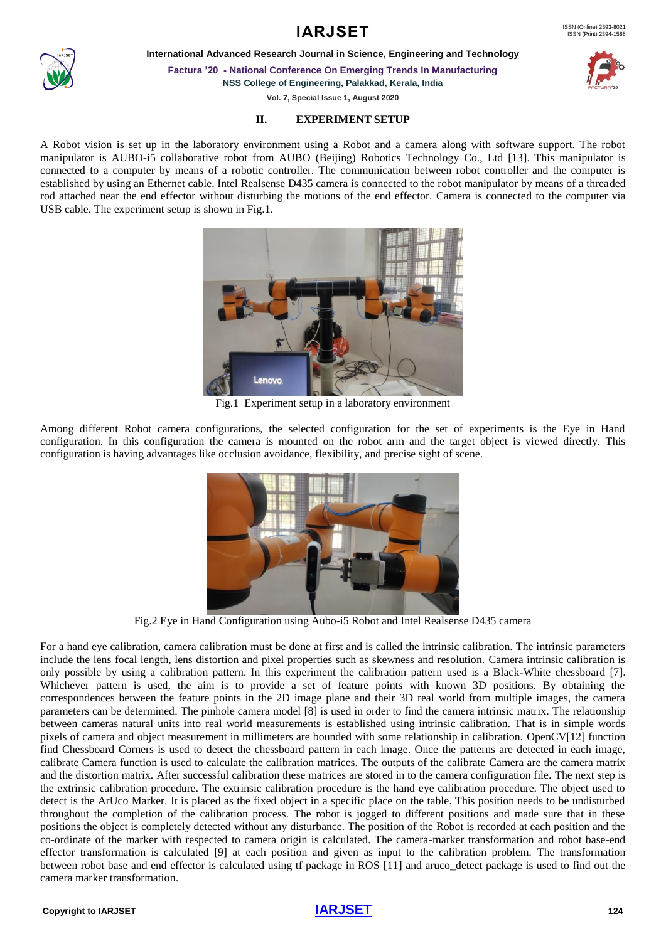## ISSN (Print) 2394-1588

# **IARJSET** ISSN (Online) 2393-8021

**International Advanced Research Journal in Science, Engineering and Technology**

**Factura '20 - National Conference On Emerging Trends In Manufacturing NSS College of Engineering, Palakkad, Kerala, India**

**Vol. 7, Special Issue 1, August 2020**

## **II. EXPERIMENT SETUP**

A Robot vision is set up in the laboratory environment using a Robot and a camera along with software support. The robot manipulator is AUBO-i5 collaborative robot from AUBO (Beijing) Robotics Technology Co., Ltd [13]. This manipulator is connected to a computer by means of a robotic controller. The communication between robot controller and the computer is established by using an Ethernet cable. Intel Realsense D435 camera is connected to the robot manipulator by means of a threaded rod attached near the end effector without disturbing the motions of the end effector. Camera is connected to the computer via USB cable. The experiment setup is shown in Fig.1.

**Lenovo** 

Fig.1 Experiment setup in a laboratory environment

Among different Robot camera configurations, the selected configuration for the set of experiments is the Eye in Hand configuration. In this configuration the camera is mounted on the robot arm and the target object is viewed directly. This configuration is having advantages like occlusion avoidance, flexibility, and precise sight of scene.



For a hand eye calibration, camera calibration must be done at first and is called the intrinsic calibration. The intrinsic parameters include the lens focal length, lens distortion and pixel properties such as skewness and resolution. Camera intrinsic calibration is only possible by using a calibration pattern. In this experiment the calibration pattern used is a Black-White chessboard [7]. Whichever pattern is used, the aim is to provide a set of feature points with known 3D positions. By obtaining the correspondences between the feature points in the 2D image plane and their 3D real world from multiple images, the camera parameters can be determined. The pinhole camera model [8] is used in order to find the camera intrinsic matrix. The relationship between cameras natural units into real world measurements is established using intrinsic calibration. That is in simple words pixels of camera and object measurement in millimeters are bounded with some relationship in calibration. OpenCV[12] function find Chessboard Corners is used to detect the chessboard pattern in each image. Once the patterns are detected in each image, calibrate Camera function is used to calculate the calibration matrices. The outputs of the calibrate Camera are the camera matrix and the distortion matrix. After successful calibration these matrices are stored in to the camera configuration file. The next step is the extrinsic calibration procedure. The extrinsic calibration procedure is the hand eye calibration procedure. The object used to detect is the ArUco Marker. It is placed as the fixed object in a specific place on the table. This position needs to be undisturbed throughout the completion of the calibration process. The robot is jogged to different positions and made sure that in these positions the object is completely detected without any disturbance. The position of the Robot is recorded at each position and the co-ordinate of the marker with respected to camera origin is calculated. The camera-marker transformation and robot base-end effector transformation is calculated [9] at each position and given as input to the calibration problem. The transformation between robot base and end effector is calculated using tf package in ROS [11] and aruco\_detect package is used to find out the camera marker transformation.

## **Copyright to [IARJSET](https://iarjset.com/)** 124







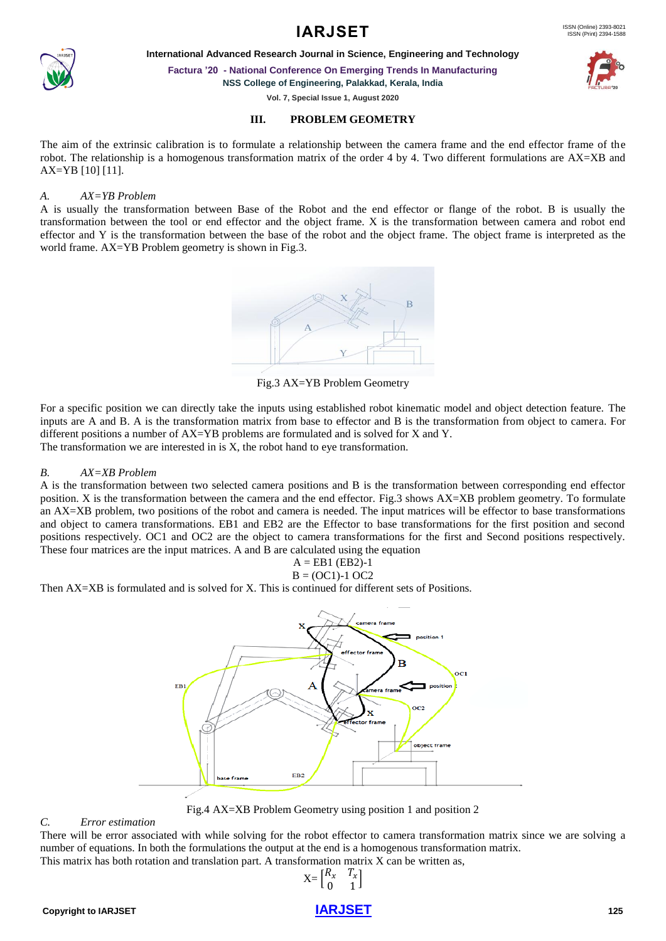### ISSN (Print) 2394-1588

# **IARJSET** ISSN (Online) 2393-8021

**International Advanced Research Journal in Science, Engineering and Technology**

**Factura '20 - National Conference On Emerging Trends In Manufacturing**

**NSS College of Engineering, Palakkad, Kerala, India**

**Vol. 7, Special Issue 1, August 2020**

#### **III. PROBLEM GEOMETRY**

The aim of the extrinsic calibration is to formulate a relationship between the camera frame and the end effector frame of the robot. The relationship is a homogenous transformation matrix of the order 4 by 4. Two different formulations are AX=XB and AX=YB [10] [11].

### *A. AX=YB Problem*

A is usually the transformation between Base of the Robot and the end effector or flange of the robot. B is usually the transformation between the tool or end effector and the object frame. X is the transformation between camera and robot end effector and Y is the transformation between the base of the robot and the object frame. The object frame is interpreted as the world frame. AX=YB Problem geometry is shown in Fig.3.



Fig.3 AX=YB Problem Geometry

For a specific position we can directly take the inputs using established robot kinematic model and object detection feature. The inputs are A and B. A is the transformation matrix from base to effector and B is the transformation from object to camera. For different positions a number of AX=YB problems are formulated and is solved for X and Y. The transformation we are interested in is X, the robot hand to eye transformation.

### *B. AX=XB Problem*

A is the transformation between two selected camera positions and B is the transformation between corresponding end effector position. X is the transformation between the camera and the end effector. Fig.3 shows AX=XB problem geometry. To formulate an AX=XB problem, two positions of the robot and camera is needed. The input matrices will be effector to base transformations and object to camera transformations. EB1 and EB2 are the Effector to base transformations for the first position and second positions respectively. OC1 and OC2 are the object to camera transformations for the first and Second positions respectively. These four matrices are the input matrices. A and B are calculated using the equation

$$
A = EB1 (EB2)-1
$$

$$
B = (OC1)-1 OC2
$$

Then AX=XB is formulated and is solved for X. This is continued for different sets of Positions.



Fig.4 AX=XB Problem Geometry using position 1 and position 2

#### *C. Error estimation*

There will be error associated with while solving for the robot effector to camera transformation matrix since we are solving a number of equations. In both the formulations the output at the end is a homogenous transformation matrix. This matrix has both rotation and translation part. A transformation matrix X can be written as,





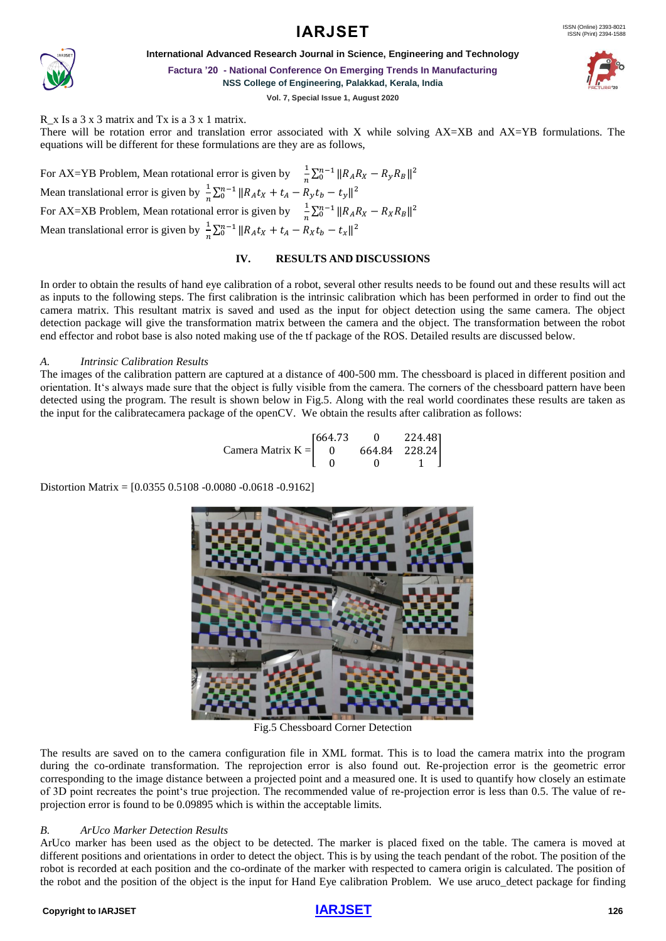



**International Advanced Research Journal in Science, Engineering and Technology**

**Factura '20 - National Conference On Emerging Trends In Manufacturing**

**NSS College of Engineering, Palakkad, Kerala, India**

**Vol. 7, Special Issue 1, August 2020**

R  $\overline{x}$  Is a 3  $\overline{x}$  3 matrix and Tx is a 3  $\overline{x}$  1 matrix.

There will be rotation error and translation error associated with X while solving AX=XB and AX=YB formulations. The equations will be different for these formulations are they are as follows,

For AX=YB Problem, Mean rotational error is given by  $\frac{1}{2}$  $\frac{1}{n}\sum_{0}^{n-1} ||R_A R_X - R_y R_B||^2$ Mean translational error is given by  $\frac{1}{x}$  $\frac{1}{n}\sum_{0}^{n-1}||R_At_X + t_A - R_yt_b - t_y||^2$ For AX=XB Problem, Mean rotational error is given by  $\frac{1}{2}$  $\frac{1}{n}\sum_{0}^{n-1}||R_{A}R_{X}-R_{X}R_{B}||^{2}$ Mean translational error is given by  $\frac{1}{x}$  $\frac{1}{n}\sum_{0}^{n-1}||R_At_X + t_A - R_Xt_b - t_x||^2$ 

#### **IV. RESULTS AND DISCUSSIONS**

In order to obtain the results of hand eye calibration of a robot, several other results needs to be found out and these results will act as inputs to the following steps. The first calibration is the intrinsic calibration which has been performed in order to find out the camera matrix. This resultant matrix is saved and used as the input for object detection using the same camera. The object detection package will give the transformation matrix between the camera and the object. The transformation between the robot end effector and robot base is also noted making use of the tf package of the ROS. Detailed results are discussed below.

#### *A. Intrinsic Calibration Results*

The images of the calibration pattern are captured at a distance of 400-500 mm. The chessboard is placed in different position and orientation. It's always made sure that the object is fully visible from the camera. The corners of the chessboard pattern have been detected using the program. The result is shown below in Fig.5. Along with the real world coordinates these results are taken as the input for the calibratecamera package of the openCV. We obtain the results after calibration as follows:

$$
Camera Matrix K = \begin{bmatrix} 664.73 & 0 & 224.48 \\ 0 & 664.84 & 228.24 \\ 0 & 0 & 1 \end{bmatrix}
$$

Distortion Matrix = [0.0355 0.5108 -0.0080 -0.0618 -0.9162]



Fig.5 Chessboard Corner Detection

The results are saved on to the camera configuration file in XML format. This is to load the camera matrix into the program during the co-ordinate transformation. The reprojection error is also found out. Re-projection error is the geometric error corresponding to the image distance between a projected point and a measured one. It is used to quantify how closely an estimate of 3D point recreates the point's true projection. The recommended value of re-projection error is less than 0.5. The value of reprojection error is found to be 0.09895 which is within the acceptable limits.

#### *B. ArUco Marker Detection Results*

ArUco marker has been used as the object to be detected. The marker is placed fixed on the table. The camera is moved at different positions and orientations in order to detect the object. This is by using the teach pendant of the robot. The position of the robot is recorded at each position and the co-ordinate of the marker with respected to camera origin is calculated. The position of the robot and the position of the object is the input for Hand Eye calibration Problem. We use aruco\_detect package for finding

#### **Copyright to [IARJSET](https://iarjset.com/)** 126

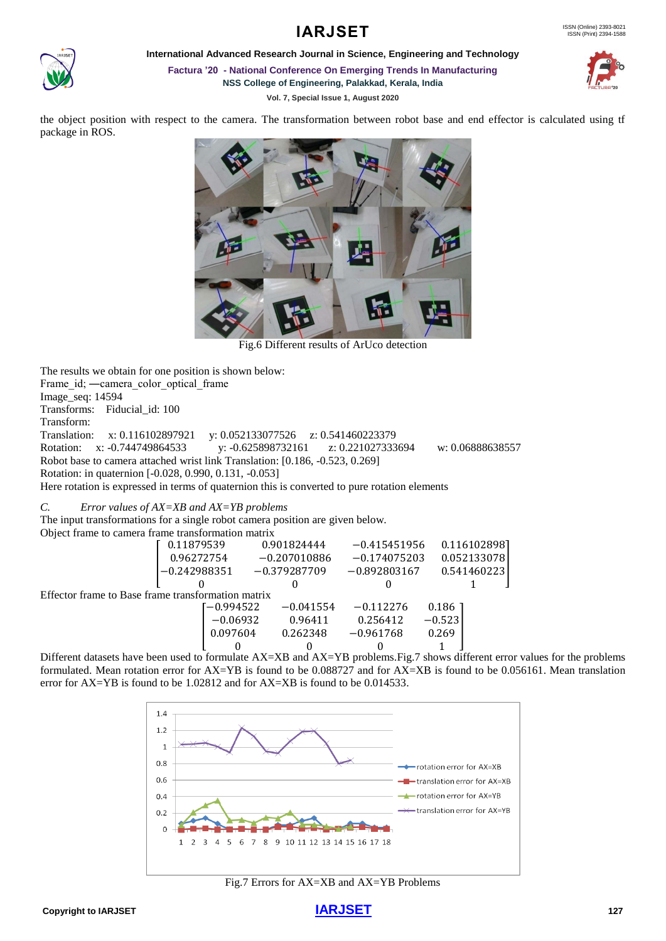

**International Advanced Research Journal in Science, Engineering and Technology**

**IARJSET** 

**Factura '20 - National Conference On Emerging Trends In Manufacturing NSS College of Engineering, Palakkad, Kerala, India**

**Vol. 7, Special Issue 1, August 2020**



the object position with respect to the camera. The transformation between robot base and end effector is calculated using tf package in ROS.



Fig.6 Different results of ArUco detection

The results we obtain for one position is shown below: Frame\_id; —camera\_color\_optical\_frame Image\_seq: 14594 Transforms: Fiducial\_id: 100 Transform: Translation: x: 0.116102897921 y: 0.052133077526 z: 0.541460223379 Rotation: x: -0.744749864533 y: -0.625898732161 z: 0.221027333694 w: 0.06888638557 Robot base to camera attached wrist link Translation: [0.186, -0.523, 0.269] Rotation: in quaternion [-0.028, 0.990, 0.131, -0.053] Here rotation is expressed in terms of quaternion this is converted to pure rotation elements

*C. Error values of AX=XB and AX=YB problems*

The input transformations for a single robot camera position are given below.

| Object frame to camera frame transformation matrix |                |             |                |             |                |  |              |  |
|----------------------------------------------------|----------------|-------------|----------------|-------------|----------------|--|--------------|--|
|                                                    | 0.11879539     |             | 0.901824444    |             | $-0.415451956$ |  | 0.1161028981 |  |
|                                                    | 0.96272754     |             | $-0.207010886$ |             | $-0.174075203$ |  | 0.052133078  |  |
|                                                    | $-0.242988351$ |             | $-0.379287709$ |             | $-0.892803167$ |  | 0.541460223  |  |
|                                                    |                |             | 0              |             |                |  |              |  |
| Effector frame to Base frame transformation matrix |                |             |                |             |                |  |              |  |
|                                                    |                | $-0.994522$ |                | $-0.041554$ | $-0.112276$    |  | 0.186        |  |
|                                                    | $-0.06932$     |             | 0.96411        |             | 0.256412       |  | $-0.523$     |  |
|                                                    |                | 0.097604    |                | 0.262348    | $-0.961768$    |  | 0.269        |  |
|                                                    |                |             |                |             |                |  |              |  |

Different datasets have been used to formulate AX=XB and AX=YB problems.Fig.7 shows different error values for the problems formulated. Mean rotation error for AX=YB is found to be 0.088727 and for AX=XB is found to be 0.056161. Mean translation error for AX=YB is found to be 1.02812 and for AX=XB is found to be 0.014533.



Fig.7 Errors for AX=XB and AX=YB Problems

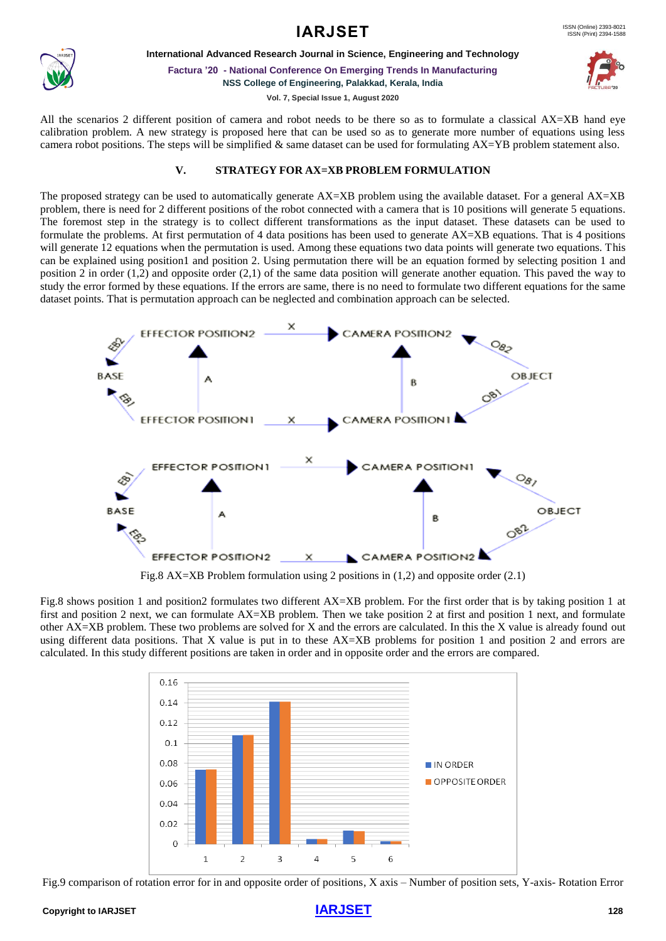



**International Advanced Research Journal in Science, Engineering and Technology**

**Factura '20 - National Conference On Emerging Trends In Manufacturing NSS College of Engineering, Palakkad, Kerala, India**

**Vol. 7, Special Issue 1, August 2020**

All the scenarios 2 different position of camera and robot needs to be there so as to formulate a classical AX=XB hand eye calibration problem. A new strategy is proposed here that can be used so as to generate more number of equations using less camera robot positions. The steps will be simplified & same dataset can be used for formulating  $AX=YB$  problem statement also.

# **V. STRATEGY FOR AX=XB PROBLEM FORMULATION**

The proposed strategy can be used to automatically generate AX=XB problem using the available dataset. For a general AX=XB problem, there is need for 2 different positions of the robot connected with a camera that is 10 positions will generate 5 equations. The foremost step in the strategy is to collect different transformations as the input dataset. These datasets can be used to formulate the problems. At first permutation of 4 data positions has been used to generate AX=XB equations. That is 4 positions will generate 12 equations when the permutation is used. Among these equations two data points will generate two equations. This can be explained using position1 and position 2. Using permutation there will be an equation formed by selecting position 1 and position 2 in order (1,2) and opposite order (2,1) of the same data position will generate another equation. This paved the way to study the error formed by these equations. If the errors are same, there is no need to formulate two different equations for the same dataset points. That is permutation approach can be neglected and combination approach can be selected.



Fig.8 AX=XB Problem formulation using 2 positions in (1,2) and opposite order (2.1)

Fig.8 shows position 1 and position2 formulates two different AX=XB problem. For the first order that is by taking position 1 at first and position 2 next, we can formulate AX=XB problem. Then we take position 2 at first and position 1 next, and formulate other AX=XB problem. These two problems are solved for X and the errors are calculated. In this the X value is already found out using different data positions. That X value is put in to these AX=XB problems for position 1 and position 2 and errors are calculated. In this study different positions are taken in order and in opposite order and the errors are compared.



Fig.9 comparison of rotation error for in and opposite order of positions, X axis – Number of position sets, Y-axis- Rotation Error

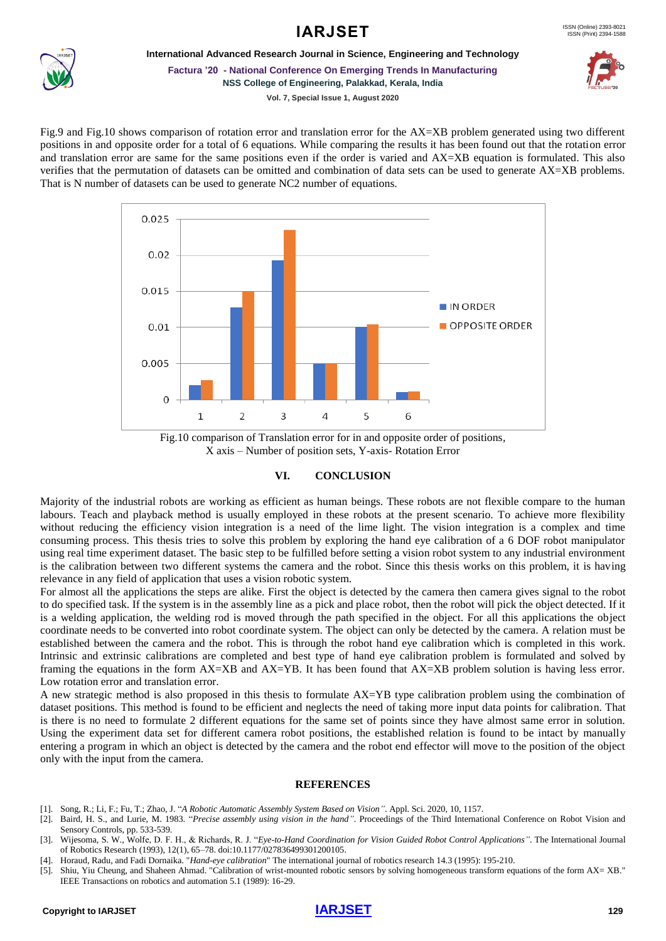### ISSN (Print) 2394-1588

# **IARJSET** ISSN (Online) 2393-8021



**International Advanced Research Journal in Science, Engineering and Technology**

**Factura '20 - National Conference On Emerging Trends In Manufacturing**

**NSS College of Engineering, Palakkad, Kerala, India**



**Vol. 7, Special Issue 1, August 2020**

Fig.9 and Fig.10 shows comparison of rotation error and translation error for the AX=XB problem generated using two different positions in and opposite order for a total of 6 equations. While comparing the results it has been found out that the rotation error and translation error are same for the same positions even if the order is varied and AX=XB equation is formulated. This also verifies that the permutation of datasets can be omitted and combination of data sets can be used to generate AX=XB problems. That is N number of datasets can be used to generate NC2 number of equations.



Fig.10 comparison of Translation error for in and opposite order of positions, X axis – Number of position sets, Y-axis- Rotation Error

#### **VI. CONCLUSION**

Majority of the industrial robots are working as efficient as human beings. These robots are not flexible compare to the human labours. Teach and playback method is usually employed in these robots at the present scenario. To achieve more flexibility without reducing the efficiency vision integration is a need of the lime light. The vision integration is a complex and time consuming process. This thesis tries to solve this problem by exploring the hand eye calibration of a 6 DOF robot manipulator using real time experiment dataset. The basic step to be fulfilled before setting a vision robot system to any industrial environment is the calibration between two different systems the camera and the robot. Since this thesis works on this problem, it is having relevance in any field of application that uses a vision robotic system.

For almost all the applications the steps are alike. First the object is detected by the camera then camera gives signal to the robot to do specified task. If the system is in the assembly line as a pick and place robot, then the robot will pick the object detected. If it is a welding application, the welding rod is moved through the path specified in the object. For all this applications the object coordinate needs to be converted into robot coordinate system. The object can only be detected by the camera. A relation must be established between the camera and the robot. This is through the robot hand eye calibration which is completed in this work. Intrinsic and extrinsic calibrations are completed and best type of hand eye calibration problem is formulated and solved by framing the equations in the form AX=XB and AX=YB. It has been found that AX=XB problem solution is having less error. Low rotation error and translation error.

A new strategic method is also proposed in this thesis to formulate AX=YB type calibration problem using the combination of dataset positions. This method is found to be efficient and neglects the need of taking more input data points for calibration. That is there is no need to formulate 2 different equations for the same set of points since they have almost same error in solution. Using the experiment data set for different camera robot positions, the established relation is found to be intact by manually entering a program in which an object is detected by the camera and the robot end effector will move to the position of the object only with the input from the camera.

#### **REFERENCES**

- [1]. Song, R.; Li, F.; Fu, T.; Zhao, J. "*A Robotic Automatic Assembly System Based on Vision"*. Appl. Sci. 2020, 10, 1157.
- [2]. Baird, H. S., and Lurie, M. 1983. "*Precise assembly using vision in the hand"*. Proceedings of the Third International Conference on Robot Vision and Sensory Controls, pp. 533-539.
- [3]. Wijesoma, S. W., Wolfe, D. F. H., & Richards, R. J. "*Eye-to-Hand Coordination for Vision Guided Robot Control Applications"*. The International Journal of Robotics Research (1993), 12(1), 65–78. doi:10.1177/027836499301200105.
- [4]. Horaud, Radu, and Fadi Dornaika. "*Hand-eye calibration*" The international journal of robotics research 14.3 (1995): 195-210.
- [5]. Shiu, Yiu Cheung, and Shaheen Ahmad. "Calibration of wrist-mounted robotic sensors by solving homogeneous transform equations of the form AX= XB." IEEE Transactions on robotics and automation 5.1 (1989): 16-29.